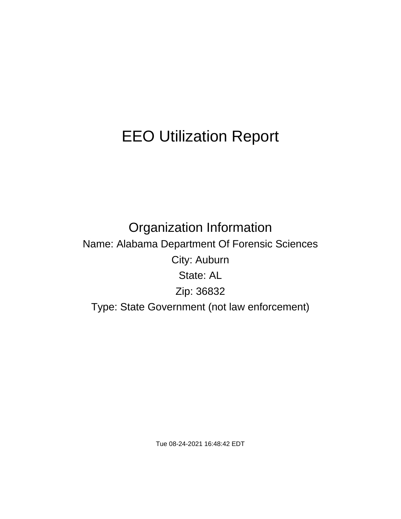# EEO Utilization Report

Organization Information Name: Alabama Department Of Forensic Sciences City: Auburn State: AL Zip: 36832 Type: State Government (not law enforcement)

Tue 08-24-2021 16:48:42 EDT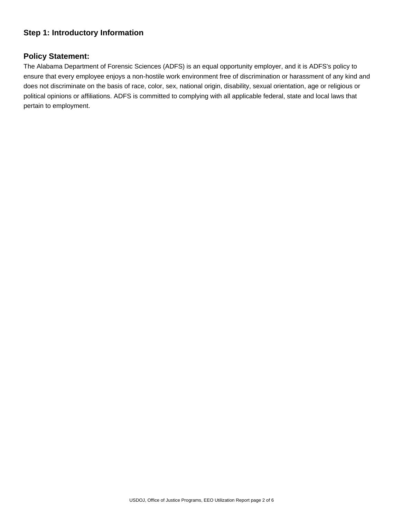## **Step 1: Introductory Information**

## **Policy Statement:**

The Alabama Department of Forensic Sciences (ADFS) is an equal opportunity employer, and it is ADFS's policy to ensure that every employee enjoys a non-hostile work environment free of discrimination or harassment of any kind and does not discriminate on the basis of race, color, sex, national origin, disability, sexual orientation, age or religious or political opinions or affiliations. ADFS is committed to complying with all applicable federal, state and local laws that pertain to employment.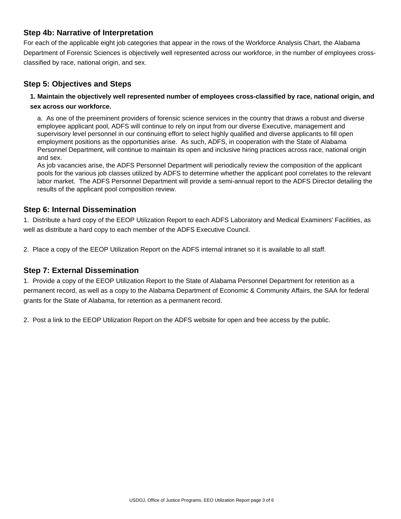## **Step 4b: Narrative of Interpretation**

For each of the applicable eight job categories that appear in the rows of the Workforce Analysis Chart, the Alabama Department of Forensic Sciences is objectively well represented across our workforce, in the number of employees crossclassified by race, national origin, and sex.

# **Step 5: Objectives and Steps**

## **1. Maintain the objectively well represented number of employees cross-classified by race, national origin, and sex across our workforce.**

a. As one of the preeminent providers of forensic science services in the country that draws a robust and diverse employee applicant pool, ADFS will continue to rely on input from our diverse Executive, management and supervisory level personnel in our continuing effort to select highly qualified and diverse applicants to fill open employment positions as the opportunities arise. As such, ADFS, in cooperation with the State of Alabama Personnel Department, will continue to maintain its open and inclusive hiring practices across race, national origin and sex.

As job vacancies arise, the ADFS Personnel Department will periodically review the composition of the applicant pools for the various job classes utilized by ADFS to determine whether the applicant pool correlates to the relevant labor market. The ADFS Personnel Department will provide a semi-annual report to the ADFS Director detailing the results of the applicant pool composition review.

## **Step 6: Internal Dissemination**

1. Distribute a hard copy of the EEOP Utilization Report to each ADFS Laboratory and Medical Examiners' Facilities, as well as distribute a hard copy to each member of the ADFS Executive Council.

2. Place a copy of the EEOP Utilization Report on the ADFS internal intranet so it is available to all staff.

## **Step 7: External Dissemination**

1. Provide a copy of the EEOP Utilization Report to the State of Alabama Personnel Department for retention as a permanent record, as well as a copy to the Alabama Department of Economic & Community Affairs, the SAA for federal grants for the State of Alabama, for retention as a permanent record.

2. Post a link to the EEOP Utilization Report on the ADFS website for open and free access by the public.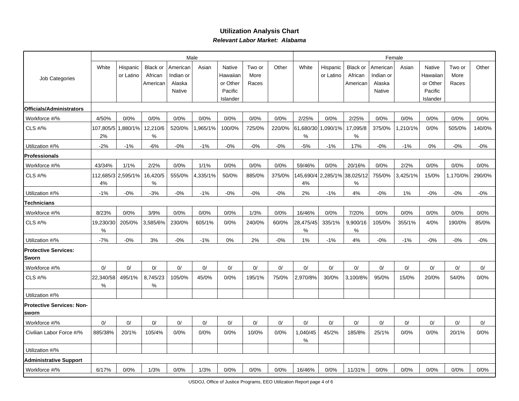## **Utilization Analysis ChartRelevant Labor Market: Alabama**

|                                           | Male            |                       |                                        |                                           |          |                                           |                         |        | Female                  |                       |                                   |                                           |          |                                           |                         |        |
|-------------------------------------------|-----------------|-----------------------|----------------------------------------|-------------------------------------------|----------|-------------------------------------------|-------------------------|--------|-------------------------|-----------------------|-----------------------------------|-------------------------------------------|----------|-------------------------------------------|-------------------------|--------|
| Job Categories                            | White           | Hispanic<br>or Latino | <b>Black or</b><br>African<br>American | American<br>Indian or<br>Alaska<br>Native | Asian    | Native<br>Hawaiian<br>or Other<br>Pacific | Two or<br>More<br>Races | Other  | White                   | Hispanic<br>or Latino | Black or<br>African<br>American   | American<br>Indian or<br>Alaska<br>Native | Asian    | Native<br>Hawaiian<br>or Other<br>Pacific | Two or<br>More<br>Races | Other  |
| Officials/Administrators                  |                 |                       |                                        |                                           |          | Islander                                  |                         |        |                         |                       |                                   |                                           |          | Islander                                  |                         |        |
| Workforce #/%                             | 4/50%           | 0/0%                  | 0/0%                                   | 0/0%                                      | 0/0%     | 0/0%                                      | 0/0%                    | 0/0%   | 2/25%                   | 0/0%                  | 2/25%                             | 0/0%                                      | 0/0%     | 0/0%                                      | 0/0%                    | 0/0%   |
| CLS #/%                                   | 107,805/5<br>2% | 1,880/1%              | 12,210/6<br>$\%$                       | 520/0%                                    | ,965/1%  | 100/0%                                    | 725/0%                  | 220/0% | 61,680/30 1,090/1%<br>% |                       | 17,095/8<br>%                     | 375/0%                                    | ,210/1%  | 0/0%                                      | 505/0%                  | 140/0% |
| Utilization #/%                           | $-2%$           | $-1%$                 | $-6%$                                  | $-0\%$                                    | $-1%$    | $-0\%$                                    | $-0%$                   | $-0%$  | $-5%$                   | $-1%$                 | 17%                               | $-0%$                                     | $-1%$    | 0%                                        | $-0%$                   | $-0\%$ |
| <b>Professionals</b>                      |                 |                       |                                        |                                           |          |                                           |                         |        |                         |                       |                                   |                                           |          |                                           |                         |        |
| Workforce #/%                             | 43/34%          | 1/1%                  | 2/2%                                   | 0/0%                                      | 1/1%     | 0/0%                                      | 0/0%                    | 0/0%   | 59/46%                  | 0/0%                  | 20/16%                            | 0/0%                                      | 2/2%     | 0/0%                                      | 0/0%                    | 0/0%   |
| <b>CLS #/%</b>                            | 4%              | 112,685/3 2,595/1%    | 16,420/5<br>$\%$                       | 555/0%                                    | 4,335/1% | 50/0%                                     | 885/0%                  | 375/0% | 4%                      |                       | 145,690/4 2,285/1% 38,025/12<br>% | 755/0%                                    | 3,425/1% | 15/0%                                     | 1,170/0%                | 290/0% |
| Utilization #/%                           | $-1%$           | $-0%$                 | $-3%$                                  | $-0%$                                     | $-1%$    | $-0%$                                     | $-0%$                   | $-0%$  | 2%                      | $-1%$                 | 4%                                | $-0%$                                     | 1%       | $-0%$                                     | $-0%$                   | $-0%$  |
| <b>Technicians</b>                        |                 |                       |                                        |                                           |          |                                           |                         |        |                         |                       |                                   |                                           |          |                                           |                         |        |
| Workforce #/%                             | 8/23%           | 0/0%                  | 3/9%                                   | 0/0%                                      | 0/0%     | 0/0%                                      | 1/3%                    | 0/0%   | 16/46%                  | 0/0%                  | 7/20%                             | 0/0%                                      | 0/0%     | 0/0%                                      | 0/0%                    | 0/0%   |
| CLS #/%                                   | 19,230/30<br>℅  | 205/0%                | 3,585/6%                               | 230/0%                                    | 605/1%   | 0/0%                                      | 240/0%                  | 60/0%  | 28,475/45<br>℅          | 335/1%                | 9,900/16<br>%                     | 105/0%                                    | 355/1%   | 4/0%                                      | 190/0%                  | 85/0%  |
| Utilization #/%                           | $-7%$           | $-0\%$                | 3%                                     | $-0%$                                     | $-1%$    | 0%                                        | 2%                      | $-0%$  | 1%                      | $-1%$                 | 4%                                | $-0%$                                     | $-1%$    | $-0%$                                     | $-0%$                   | $-0\%$ |
| <b>Protective Services:</b><br>Sworn      |                 |                       |                                        |                                           |          |                                           |                         |        |                         |                       |                                   |                                           |          |                                           |                         |        |
| Workforce #/%                             | 0/              | 0/                    | 0/                                     | 0/                                        | 0/       | 0/                                        | 0/                      | 0/     | 0/                      | 0/                    | 0/                                | 0/                                        | 0/       | 0/                                        | 0/                      | 0/     |
| CLS #/%                                   | 22,340/58<br>℅  | 495/1%                | 8,745/23<br>%                          | 105/0%                                    | 45/0%    | 0/0%                                      | 195/1%                  | 75/0%  | 2,970/8%                | 30/0%                 | 3,100/8%                          | 95/0%                                     | 15/0%    | 20/0%                                     | 54/0%                   | 0/0%   |
| Utilization #/%                           |                 |                       |                                        |                                           |          |                                           |                         |        |                         |                       |                                   |                                           |          |                                           |                         |        |
| <b>Protective Services: Non-</b><br>sworn |                 |                       |                                        |                                           |          |                                           |                         |        |                         |                       |                                   |                                           |          |                                           |                         |        |
| Workforce #/%                             | 0/              | 0/                    | 0/                                     | 0/                                        | 0/       | 0/                                        | 0/                      | 0/     | 0/                      | 0/                    | 0/                                | 0/                                        | 0/       | 0/                                        | 0/                      | 0/     |
| Civilian Labor Force #/%                  | 885/38%         | 20/1%                 | 105/4%                                 | 0/0%                                      | 0/0%     | 0/0%                                      | 10/0%                   | 0/0%   | 1,040/45<br>%           | 45/2%                 | 185/8%                            | 25/1%                                     | 0/0%     | 0/0%                                      | 20/1%                   | 0/0%   |
| Utilization #/%                           |                 |                       |                                        |                                           |          |                                           |                         |        |                         |                       |                                   |                                           |          |                                           |                         |        |
| <b>Administrative Support</b>             |                 |                       |                                        |                                           |          |                                           |                         |        |                         |                       |                                   |                                           |          |                                           |                         |        |
| Workforce #/%                             | 6/17%           | 0/0%                  | 1/3%                                   | 0/0%                                      | 1/3%     | 0/0%                                      | 0/0%                    | 0/0%   | 16/46%                  | 0/0%                  | 11/31%                            | 0/0%                                      | 0/0%     | 0/0%                                      | 0/0%                    | 0/0%   |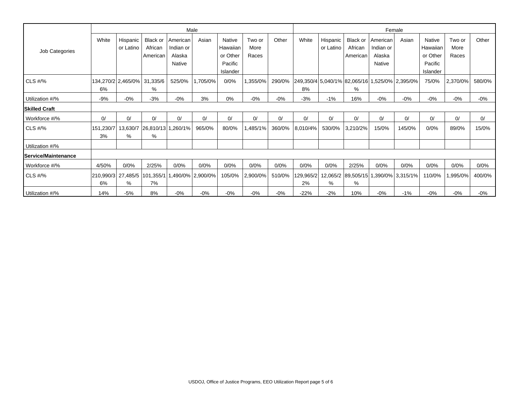|                             | Male            |                       |                                                    |                                 |          |                                |                         |        | Female                                                |                       |                                 |                                 |                                                |                                |                         |        |
|-----------------------------|-----------------|-----------------------|----------------------------------------------------|---------------------------------|----------|--------------------------------|-------------------------|--------|-------------------------------------------------------|-----------------------|---------------------------------|---------------------------------|------------------------------------------------|--------------------------------|-------------------------|--------|
| Job Categories              | White           | Hispanic<br>or Latino | <b>Black or</b><br>African<br>American             | American<br>Indian or<br>Alaska | Asian    | Native<br>Hawaiian<br>or Other | Two or<br>More<br>Races | Other  | White                                                 | Hispanic<br>or Latino | Black or<br>African<br>American | American<br>Indian or<br>Alaska | Asian                                          | Native<br>Hawaiian<br>or Other | Two or<br>More<br>Races | Other  |
|                             |                 |                       |                                                    | <b>Native</b>                   |          | Pacific<br>Islander            |                         |        |                                                       |                       |                                 | Native                          |                                                | Pacific<br>Islander            |                         |        |
| $CLS$ #/%                   | 6%              |                       | 134,270/2 2,465/0% 31,335/6<br>%                   | 525/0%                          | 1,705/0% | 0/0%                           | 1,355/0%                | 290/0% | 249,350/4 5,040/1% 82,065/16 1,525/0% 2,395/0% <br>8% |                       | %                               |                                 |                                                | 75/0%                          | 2,370/0%                | 580/0% |
| Utilization #/%             | -9%             | $-0%$                 | $-3%$                                              | $-0%$                           | 3%       | 0%                             | $-0%$                   | $-0%$  | $-3%$                                                 | $-1%$                 | 16%                             | $-0\%$                          | $-0%$                                          | $-0%$                          | $-0%$                   | $-0\%$ |
| <b>Skilled Craft</b>        |                 |                       |                                                    |                                 |          |                                |                         |        |                                                       |                       |                                 |                                 |                                                |                                |                         |        |
| Workforce #/%               | 0/              | 0/                    | 0/                                                 | 0/                              | 0/       | 0/                             | 0/                      | 0/     | 0/                                                    | 0/                    | 0/                              | 0/                              | 0/                                             | 0/                             | 0/                      | 0/     |
| $CLS$ #/%                   | 151,230/7<br>3% | %                     | 13,630/7 26,810/13 1,260/1%<br>%                   |                                 | 965/0%   | 80/0%                          | ,485/1%                 | 360/0% | 8,010/4%                                              | 530/0%                | 3,210/2%                        | 15/0%                           | 145/0%                                         | 0/0%                           | 89/0%                   | 15/0%  |
| Utilization #/%             |                 |                       |                                                    |                                 |          |                                |                         |        |                                                       |                       |                                 |                                 |                                                |                                |                         |        |
| <b>IService/Maintenance</b> |                 |                       |                                                    |                                 |          |                                |                         |        |                                                       |                       |                                 |                                 |                                                |                                |                         |        |
| Workforce #/%               | 4/50%           | 0/0%                  | 2/25%                                              | 0/0%                            | 0/0%     | 0/0%                           | 0/0%                    | 0/0%   | 0/0%                                                  | 0/0%                  | 2/25%                           | 0/0%                            | 0/0%                                           | 0/0%                           | 0/0%                    | 0/0%   |
| $CLS$ #/%                   | 210.990/3<br>6% | %                     | 27,485/5   101,355/1   1,490/0%   2,900/0%  <br>7% |                                 |          | 105/0%                         | $ 2,900/0\% $           | 510/0% | 2%                                                    | %                     | %                               |                                 | 129,965/2 12,065/2 89,505/15 1,390/0% 3,315/1% | 110/0%                         | 995/0%,                 | 400/0% |
| Utilization #/%             | 14%             | $-5%$                 | 8%                                                 | $-0%$                           | $-0%$    | $-0\%$                         | $-0%$                   | $-0%$  | $-22%$                                                | $-2%$                 | 10%                             | $-0\%$                          | $-1%$                                          | $-0%$                          | $-0%$                   | $-0\%$ |